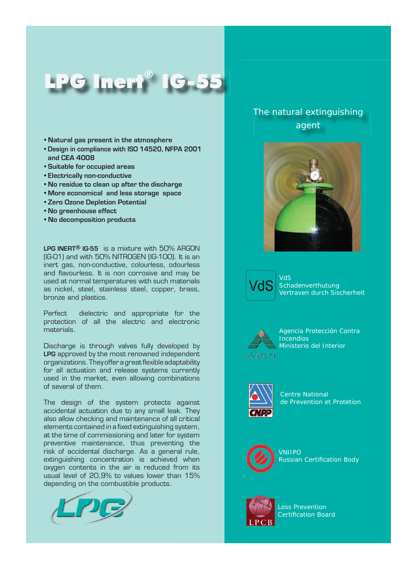## LPG Inert® IG-55

- **Natural gas present in the atmosphere**
- **Design in compliance with ISO 14520, NFPA 2001 and CEA 4008**
- **Suitable for occupied areas**
- **Electrically non-conductive**
- **No residue to clean up after the discharge**
- **More economical and less storage space**
- **Zero Ozone Depletion Potential**
- **No greenhouse effect**
- **No decomposition products**

**LPG INERT® IG-55** is a mixture with 50% ARGON (IG-01) and with 50% NITROGEN (IG-100). It is an inert gas, non-conductive, colourless, odourless and flavourless. It is non corrosive and may be used at normal temperatures with such materials as nickel, steel, stainless steel, copper, brass, bronze and plastics.

Perfect dielectric and appropriate for the protection of all the electric and electronic materials.

Discharge is through valves fully developed by **LPG** approved by the most renowned independent organizations. They offer a great flexible adaptability for all actuation and release systems currently used in the market, even allowing combinations of several of them.

The design of the system protects against accidental actuation due to any small leak. They also allow checking and maintenance of all critical elements contained in a fixed extinguishing system, at the time of commissioning and later for system preventive maintenance, thus preventing the risk of accidental discharge. As a general rule, extinguishing concentration is achieved when oxygen contents in the air is reduced from its usual level of 20,9% to values lower than 15% depending on the combustible products.



## The natural extinguishing agent



VdS Schadenverthutung Vertraven durch Sischerheit



Agencia Protección Contra **Incendios** Ministerio del Interior



Centre National de Prevention et Protetion



VNIIPO **Russian Certification Body** 



Loss Prevention Certification Board